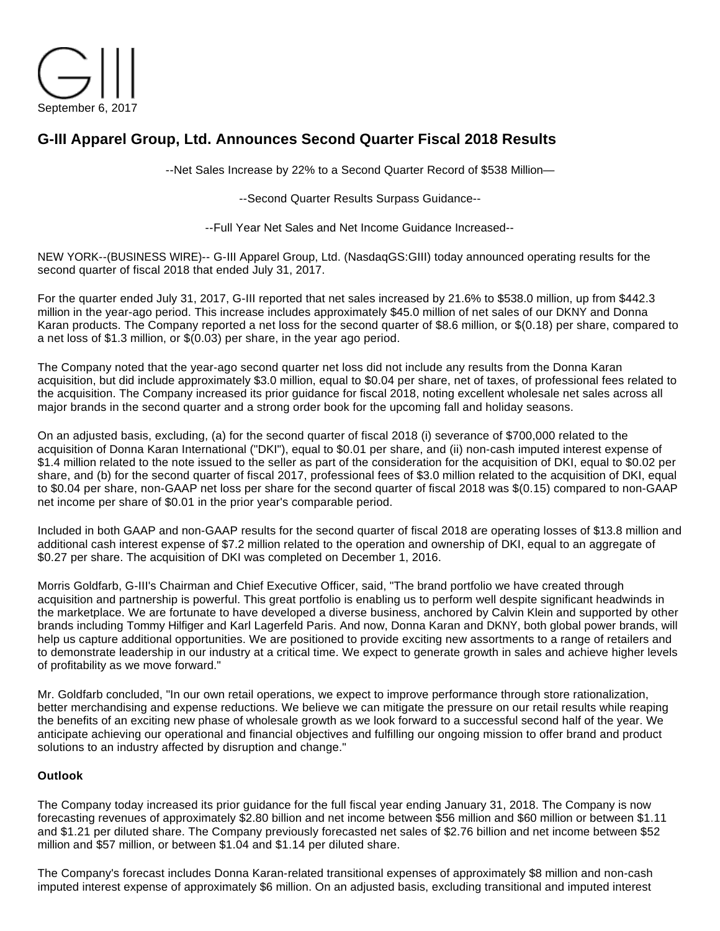

# **G-III Apparel Group, Ltd. Announces Second Quarter Fiscal 2018 Results**

--Net Sales Increase by 22% to a Second Quarter Record of \$538 Million—

--Second Quarter Results Surpass Guidance--

--Full Year Net Sales and Net Income Guidance Increased--

NEW YORK--(BUSINESS WIRE)-- G-III Apparel Group, Ltd. (NasdaqGS:GIII) today announced operating results for the second quarter of fiscal 2018 that ended July 31, 2017.

For the quarter ended July 31, 2017, G-III reported that net sales increased by 21.6% to \$538.0 million, up from \$442.3 million in the year-ago period. This increase includes approximately \$45.0 million of net sales of our DKNY and Donna Karan products. The Company reported a net loss for the second quarter of \$8.6 million, or \$(0.18) per share, compared to a net loss of \$1.3 million, or \$(0.03) per share, in the year ago period.

The Company noted that the year-ago second quarter net loss did not include any results from the Donna Karan acquisition, but did include approximately \$3.0 million, equal to \$0.04 per share, net of taxes, of professional fees related to the acquisition. The Company increased its prior guidance for fiscal 2018, noting excellent wholesale net sales across all major brands in the second quarter and a strong order book for the upcoming fall and holiday seasons.

On an adjusted basis, excluding, (a) for the second quarter of fiscal 2018 (i) severance of \$700,000 related to the acquisition of Donna Karan International ("DKI"), equal to \$0.01 per share, and (ii) non-cash imputed interest expense of \$1.4 million related to the note issued to the seller as part of the consideration for the acquisition of DKI, equal to \$0.02 per share, and (b) for the second quarter of fiscal 2017, professional fees of \$3.0 million related to the acquisition of DKI, equal to \$0.04 per share, non-GAAP net loss per share for the second quarter of fiscal 2018 was \$(0.15) compared to non-GAAP net income per share of \$0.01 in the prior year's comparable period.

Included in both GAAP and non-GAAP results for the second quarter of fiscal 2018 are operating losses of \$13.8 million and additional cash interest expense of \$7.2 million related to the operation and ownership of DKI, equal to an aggregate of \$0.27 per share. The acquisition of DKI was completed on December 1, 2016.

Morris Goldfarb, G-III's Chairman and Chief Executive Officer, said, "The brand portfolio we have created through acquisition and partnership is powerful. This great portfolio is enabling us to perform well despite significant headwinds in the marketplace. We are fortunate to have developed a diverse business, anchored by Calvin Klein and supported by other brands including Tommy Hilfiger and Karl Lagerfeld Paris. And now, Donna Karan and DKNY, both global power brands, will help us capture additional opportunities. We are positioned to provide exciting new assortments to a range of retailers and to demonstrate leadership in our industry at a critical time. We expect to generate growth in sales and achieve higher levels of profitability as we move forward."

Mr. Goldfarb concluded, "In our own retail operations, we expect to improve performance through store rationalization, better merchandising and expense reductions. We believe we can mitigate the pressure on our retail results while reaping the benefits of an exciting new phase of wholesale growth as we look forward to a successful second half of the year. We anticipate achieving our operational and financial objectives and fulfilling our ongoing mission to offer brand and product solutions to an industry affected by disruption and change."

## **Outlook**

The Company today increased its prior guidance for the full fiscal year ending January 31, 2018. The Company is now forecasting revenues of approximately \$2.80 billion and net income between \$56 million and \$60 million or between \$1.11 and \$1.21 per diluted share. The Company previously forecasted net sales of \$2.76 billion and net income between \$52 million and \$57 million, or between \$1.04 and \$1.14 per diluted share.

The Company's forecast includes Donna Karan-related transitional expenses of approximately \$8 million and non-cash imputed interest expense of approximately \$6 million. On an adjusted basis, excluding transitional and imputed interest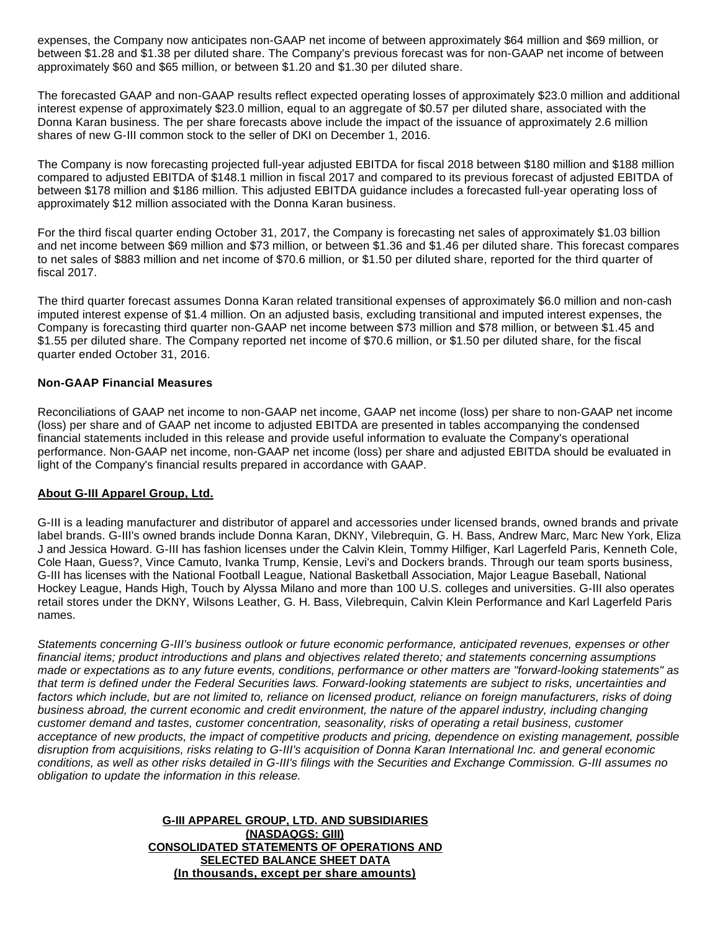expenses, the Company now anticipates non-GAAP net income of between approximately \$64 million and \$69 million, or between \$1.28 and \$1.38 per diluted share. The Company's previous forecast was for non-GAAP net income of between approximately \$60 and \$65 million, or between \$1.20 and \$1.30 per diluted share.

The forecasted GAAP and non-GAAP results reflect expected operating losses of approximately \$23.0 million and additional interest expense of approximately \$23.0 million, equal to an aggregate of \$0.57 per diluted share, associated with the Donna Karan business. The per share forecasts above include the impact of the issuance of approximately 2.6 million shares of new G-III common stock to the seller of DKI on December 1, 2016.

The Company is now forecasting projected full-year adjusted EBITDA for fiscal 2018 between \$180 million and \$188 million compared to adjusted EBITDA of \$148.1 million in fiscal 2017 and compared to its previous forecast of adjusted EBITDA of between \$178 million and \$186 million. This adjusted EBITDA guidance includes a forecasted full-year operating loss of approximately \$12 million associated with the Donna Karan business.

For the third fiscal quarter ending October 31, 2017, the Company is forecasting net sales of approximately \$1.03 billion and net income between \$69 million and \$73 million, or between \$1.36 and \$1.46 per diluted share. This forecast compares to net sales of \$883 million and net income of \$70.6 million, or \$1.50 per diluted share, reported for the third quarter of fiscal 2017.

The third quarter forecast assumes Donna Karan related transitional expenses of approximately \$6.0 million and non-cash imputed interest expense of \$1.4 million. On an adjusted basis, excluding transitional and imputed interest expenses, the Company is forecasting third quarter non-GAAP net income between \$73 million and \$78 million, or between \$1.45 and \$1.55 per diluted share. The Company reported net income of \$70.6 million, or \$1.50 per diluted share, for the fiscal quarter ended October 31, 2016.

### **Non-GAAP Financial Measures**

Reconciliations of GAAP net income to non-GAAP net income, GAAP net income (loss) per share to non-GAAP net income (loss) per share and of GAAP net income to adjusted EBITDA are presented in tables accompanying the condensed financial statements included in this release and provide useful information to evaluate the Company's operational performance. Non-GAAP net income, non-GAAP net income (loss) per share and adjusted EBITDA should be evaluated in light of the Company's financial results prepared in accordance with GAAP.

#### **About G-III Apparel Group, Ltd.**

G-III is a leading manufacturer and distributor of apparel and accessories under licensed brands, owned brands and private label brands. G-III's owned brands include Donna Karan, DKNY, Vilebrequin, G. H. Bass, Andrew Marc, Marc New York, Eliza J and Jessica Howard. G-III has fashion licenses under the Calvin Klein, Tommy Hilfiger, Karl Lagerfeld Paris, Kenneth Cole, Cole Haan, Guess?, Vince Camuto, Ivanka Trump, Kensie, Levi's and Dockers brands. Through our team sports business, G-III has licenses with the National Football League, National Basketball Association, Major League Baseball, National Hockey League, Hands High, Touch by Alyssa Milano and more than 100 U.S. colleges and universities. G-III also operates retail stores under the DKNY, Wilsons Leather, G. H. Bass, Vilebrequin, Calvin Klein Performance and Karl Lagerfeld Paris names.

Statements concerning G-III's business outlook or future economic performance, anticipated revenues, expenses or other financial items; product introductions and plans and objectives related thereto; and statements concerning assumptions made or expectations as to any future events, conditions, performance or other matters are "forward-looking statements" as that term is defined under the Federal Securities laws. Forward-looking statements are subject to risks, uncertainties and factors which include, but are not limited to, reliance on licensed product, reliance on foreign manufacturers, risks of doing business abroad, the current economic and credit environment, the nature of the apparel industry, including changing customer demand and tastes, customer concentration, seasonality, risks of operating a retail business, customer acceptance of new products, the impact of competitive products and pricing, dependence on existing management, possible disruption from acquisitions, risks relating to G-III's acquisition of Donna Karan International Inc. and general economic conditions, as well as other risks detailed in G-III's filings with the Securities and Exchange Commission. G-III assumes no obligation to update the information in this release.

> **G-III APPAREL GROUP, LTD. AND SUBSIDIARIES (NASDAQGS: GIII) CONSOLIDATED STATEMENTS OF OPERATIONS AND SELECTED BALANCE SHEET DATA (In thousands, except per share amounts)**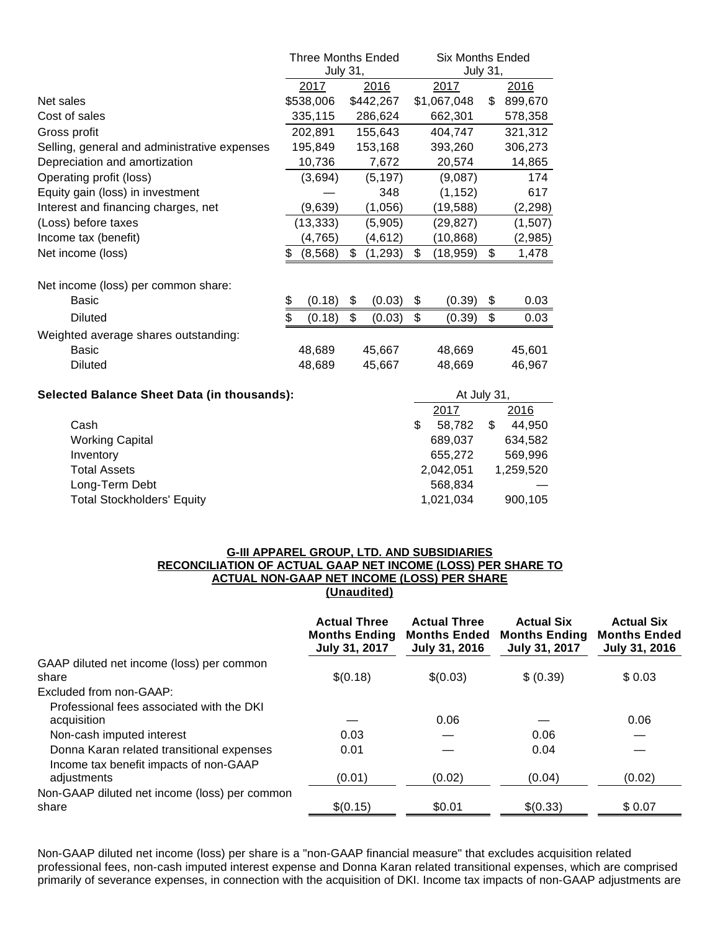|                                                    | <b>Three Months Ended</b> |           |                | <b>Six Months Ended</b> |                      |    |                                          |
|----------------------------------------------------|---------------------------|-----------|----------------|-------------------------|----------------------|----|------------------------------------------|
|                                                    | <b>July 31,</b>           |           |                | <b>July 31,</b>         |                      |    |                                          |
|                                                    |                           | 2017      | 2016           |                         | 2017                 |    | 2016                                     |
| Net sales                                          |                           | \$538,006 | \$442,267      |                         | \$1,067,048          | \$ | 899,670                                  |
| Cost of sales                                      |                           | 335,115   | 286,624        |                         | 662,301              |    | 578,358                                  |
| Gross profit                                       |                           | 202,891   | 155,643        |                         | 404,747              |    | 321,312                                  |
| Selling, general and administrative expenses       |                           | 195,849   | 153,168        |                         | 393,260              |    | 306,273                                  |
| Depreciation and amortization                      |                           | 10,736    | 7,672          |                         | 20,574               |    | 14,865                                   |
| Operating profit (loss)                            |                           | (3,694)   | (5, 197)       |                         | (9,087)              |    | 174                                      |
| Equity gain (loss) in investment                   |                           |           | 348            |                         | (1, 152)             |    | 617                                      |
| Interest and financing charges, net                |                           | (9,639)   | (1,056)        |                         | (19, 588)            |    | (2, 298)                                 |
| (Loss) before taxes                                |                           | (13, 333) | (5,905)        |                         | (29, 827)            |    | (1,507)                                  |
| Income tax (benefit)                               |                           | (4, 765)  | (4,612)        |                         | (10, 868)            |    | (2,985)                                  |
| Net income (loss)                                  | \$                        | (8, 568)  | \$<br>(1, 293) | \$                      | (18, 959)            | \$ | 1,478                                    |
|                                                    |                           |           |                |                         |                      |    |                                          |
| Net income (loss) per common share:                |                           |           |                |                         |                      |    |                                          |
| Basic                                              | \$                        | (0.18)    | \$<br>(0.03)   | \$                      | (0.39)               | \$ | 0.03                                     |
| <b>Diluted</b>                                     | \$                        | (0.18)    | \$<br>(0.03)   | \$                      | (0.39)               | \$ | 0.03                                     |
| Weighted average shares outstanding:               |                           |           |                |                         |                      |    |                                          |
| Basic                                              |                           | 48,689    | 45,667         |                         | 48,669               |    | 45,601                                   |
| <b>Diluted</b>                                     |                           | 48,689    | 45,667         |                         | 48,669               |    | 46,967                                   |
| <b>Selected Balance Sheet Data (in thousands):</b> |                           |           | At July 31,    |                         |                      |    |                                          |
|                                                    |                           |           |                |                         | 2017                 |    | 2016                                     |
| $\bigcap_{n=1}^{\infty}$                           |                           |           |                |                         | $\sim$ $\sim$ $\sim$ |    | $\lambda$ $\lambda$ $\sim$ $\sim$ $\sim$ |

|                                   | 2017      | 2016      |
|-----------------------------------|-----------|-----------|
| Cash                              | 58.782    | 44.950    |
| Working Capital                   | 689.037   | 634,582   |
| Inventory                         | 655.272   | 569.996   |
| Total Assets                      | 2.042.051 | 1.259.520 |
| Long-Term Debt                    | 568.834   |           |
| <b>Total Stockholders' Equity</b> | 1,021,034 | 900,105   |

#### **G-III APPAREL GROUP, LTD. AND SUBSIDIARIES RECONCILIATION OF ACTUAL GAAP NET INCOME (LOSS) PER SHARE TO ACTUAL NON-GAAP NET INCOME (LOSS) PER SHARE (Unaudited)**

|                                                          | <b>Actual Three</b><br><b>Months Ending</b><br>July 31, 2017 | <b>Actual Three</b><br><b>Months Ended</b><br>July 31, 2016 | <b>Actual Six</b><br><b>Months Ending</b><br>July 31, 2017 | <b>Actual Six</b><br><b>Months Ended</b><br>July 31, 2016 |
|----------------------------------------------------------|--------------------------------------------------------------|-------------------------------------------------------------|------------------------------------------------------------|-----------------------------------------------------------|
| GAAP diluted net income (loss) per common<br>share       | \$(0.18)                                                     | \$(0.03)                                                    | \$ (0.39)                                                  | \$0.03                                                    |
| Excluded from non-GAAP:                                  |                                                              |                                                             |                                                            |                                                           |
| Professional fees associated with the DKI<br>acquisition |                                                              | 0.06                                                        |                                                            | 0.06                                                      |
| Non-cash imputed interest                                | 0.03                                                         |                                                             | 0.06                                                       |                                                           |
| Donna Karan related transitional expenses                | 0.01                                                         |                                                             | 0.04                                                       |                                                           |
| Income tax benefit impacts of non-GAAP<br>adjustments    | (0.01)                                                       | (0.02)                                                      | (0.04)                                                     | (0.02)                                                    |
| Non-GAAP diluted net income (loss) per common<br>share   | \$(0.15)                                                     | \$0.01                                                      | \$(0.33)                                                   | \$0.07                                                    |

Non-GAAP diluted net income (loss) per share is a "non-GAAP financial measure" that excludes acquisition related professional fees, non-cash imputed interest expense and Donna Karan related transitional expenses, which are comprised primarily of severance expenses, in connection with the acquisition of DKI. Income tax impacts of non-GAAP adjustments are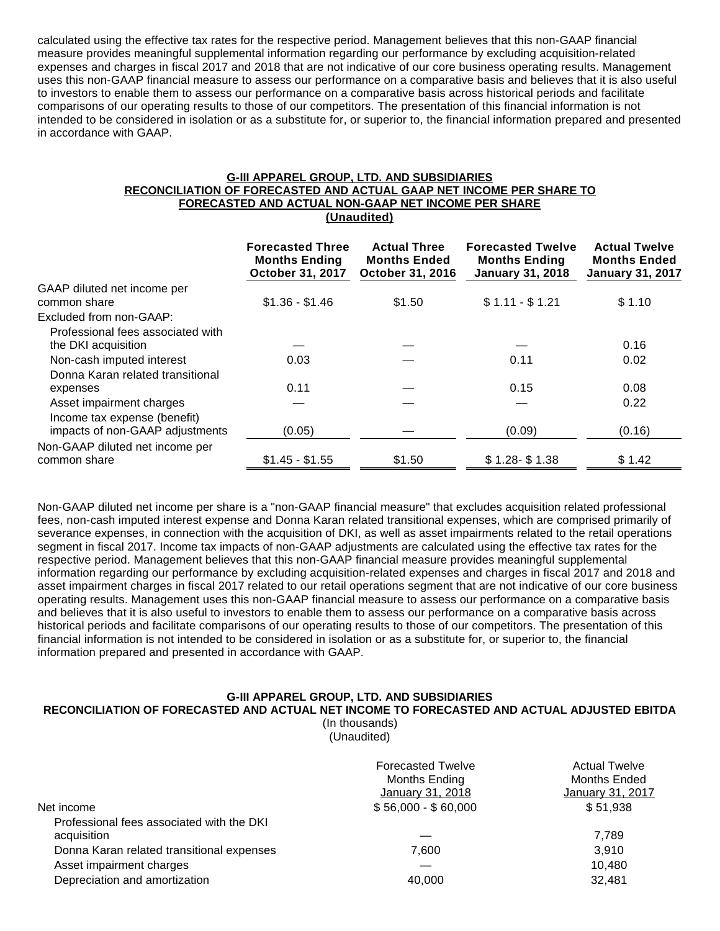calculated using the effective tax rates for the respective period. Management believes that this non-GAAP financial measure provides meaningful supplemental information regarding our performance by excluding acquisition-related expenses and charges in fiscal 2017 and 2018 that are not indicative of our core business operating results. Management uses this non-GAAP financial measure to assess our performance on a comparative basis and believes that it is also useful to investors to enable them to assess our performance on a comparative basis across historical periods and facilitate comparisons of our operating results to those of our competitors. The presentation of this financial information is not intended to be considered in isolation or as a substitute for, or superior to, the financial information prepared and presented in accordance with GAAP.

#### **G-III APPAREL GROUP, LTD. AND SUBSIDIARIES RECONCILIATION OF FORECASTED AND ACTUAL GAAP NET INCOME PER SHARE TO FORECASTED AND ACTUAL NON-GAAP NET INCOME PER SHARE (Unaudited)**

|                                   | <b>Forecasted Three</b><br><b>Months Ending</b><br>October 31, 2017 | <b>Actual Three</b><br><b>Months Ended</b><br>October 31, 2016 | <b>Forecasted Twelve</b><br><b>Months Ending</b><br><b>January 31, 2018</b> | <b>Actual Twelve</b><br><b>Months Ended</b><br><b>January 31, 2017</b> |
|-----------------------------------|---------------------------------------------------------------------|----------------------------------------------------------------|-----------------------------------------------------------------------------|------------------------------------------------------------------------|
| GAAP diluted net income per       |                                                                     |                                                                |                                                                             |                                                                        |
| common share                      | $$1.36 - $1.46$                                                     | \$1.50                                                         | $$1.11 - $1.21$                                                             | \$1.10                                                                 |
| Excluded from non-GAAP:           |                                                                     |                                                                |                                                                             |                                                                        |
| Professional fees associated with |                                                                     |                                                                |                                                                             |                                                                        |
| the DKI acquisition               |                                                                     |                                                                |                                                                             | 0.16                                                                   |
| Non-cash imputed interest         | 0.03                                                                |                                                                | 0.11                                                                        | 0.02                                                                   |
| Donna Karan related transitional  |                                                                     |                                                                |                                                                             |                                                                        |
| expenses                          | 0.11                                                                |                                                                | 0.15                                                                        | 0.08                                                                   |
| Asset impairment charges          |                                                                     |                                                                |                                                                             | 0.22                                                                   |
| Income tax expense (benefit)      |                                                                     |                                                                |                                                                             |                                                                        |
| impacts of non-GAAP adjustments   | (0.05)                                                              |                                                                | (0.09)                                                                      | (0.16)                                                                 |
| Non-GAAP diluted net income per   |                                                                     |                                                                |                                                                             |                                                                        |
| common share                      | $$1.45 - $1.55$                                                     | \$1.50                                                         | $$1.28 - $1.38$                                                             | \$1.42                                                                 |

Non-GAAP diluted net income per share is a "non-GAAP financial measure" that excludes acquisition related professional fees, non-cash imputed interest expense and Donna Karan related transitional expenses, which are comprised primarily of severance expenses, in connection with the acquisition of DKI, as well as asset impairments related to the retail operations segment in fiscal 2017. Income tax impacts of non-GAAP adjustments are calculated using the effective tax rates for the respective period. Management believes that this non-GAAP financial measure provides meaningful supplemental information regarding our performance by excluding acquisition-related expenses and charges in fiscal 2017 and 2018 and asset impairment charges in fiscal 2017 related to our retail operations segment that are not indicative of our core business operating results. Management uses this non-GAAP financial measure to assess our performance on a comparative basis and believes that it is also useful to investors to enable them to assess our performance on a comparative basis across historical periods and facilitate comparisons of our operating results to those of our competitors. The presentation of this financial information is not intended to be considered in isolation or as a substitute for, or superior to, the financial information prepared and presented in accordance with GAAP.

#### **G-III APPAREL GROUP, LTD. AND SUBSIDIARIES**

#### **RECONCILIATION OF FORECASTED AND ACTUAL NET INCOME TO FORECASTED AND ACTUAL ADJUSTED EBITDA**

(In thousands) (Unaudited)

| <b>Forecasted Twelve</b><br>Months Ending<br>January 31, 2018 | <b>Actual Twelve</b><br><b>Months Ended</b><br>January 31, 2017 |
|---------------------------------------------------------------|-----------------------------------------------------------------|
| $$56,000 - $60,000$                                           | \$51,938                                                        |
|                                                               | 7.789                                                           |
| 7.600                                                         | 3.910                                                           |
|                                                               | 10.480                                                          |
| 40.000                                                        | 32,481                                                          |
|                                                               |                                                                 |